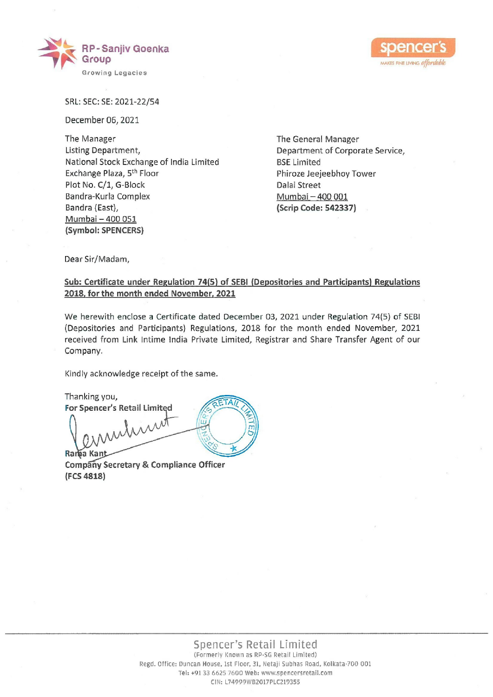



SRL: SEC: SE: 2021-22/54

December 06, 2021

The Manager The General Manager Listing Department, The Corporate Service, Department of Corporate Service, National Stock Exchange of India Limited BSE Limited Exchange Plaza, 5<sup>th</sup> Floor **Philosophone Phiroze Jeejeebhoy Tower** Plot No. C/1, G-Block Dalal Street Bandra-Kurla Complex Mumbai – 400 001 Bandra (East), Sandra (East), Sandra (East), Sandra (Scrip Code: 542337) Mumbai — 400 051 (Symbol: SPENCERS) Mathonal Stock Exchange of India Limited<br>
Exchange Para 3,<sup>59</sup> Floor<br>
Plot No. C/1, G-Block<br>
Bandra-Kurla Complex<br>
Bandra Kurla Complex<br>
Bandra Kurla Complex<br>
Bandra Kurla Complex<br>
Sambol: SPENCERS)<br>
(Symbol: SPENCERS)<br>
De

Dear Sir/Madam,

## Sub: Certificate under Regulation 74(5) of SEBI (Depesitories and Participants) Regulations 2018, for the month ended November, 2021

We herewith enclose a Certificate dated December 03, 2021 under Regulation 74(5) of SEBI (Depositories and Participants) Regulations, 2018 for the month ended November, 2021 received from Link Intime India Private Limited, Registrar and Share Transfer Agent of our Company.

Kindly acknowledge receipt of the same.

Thanking you, For Spencer's Retail Limited

Company Secretary & Compliance Officer (FCS 4813)